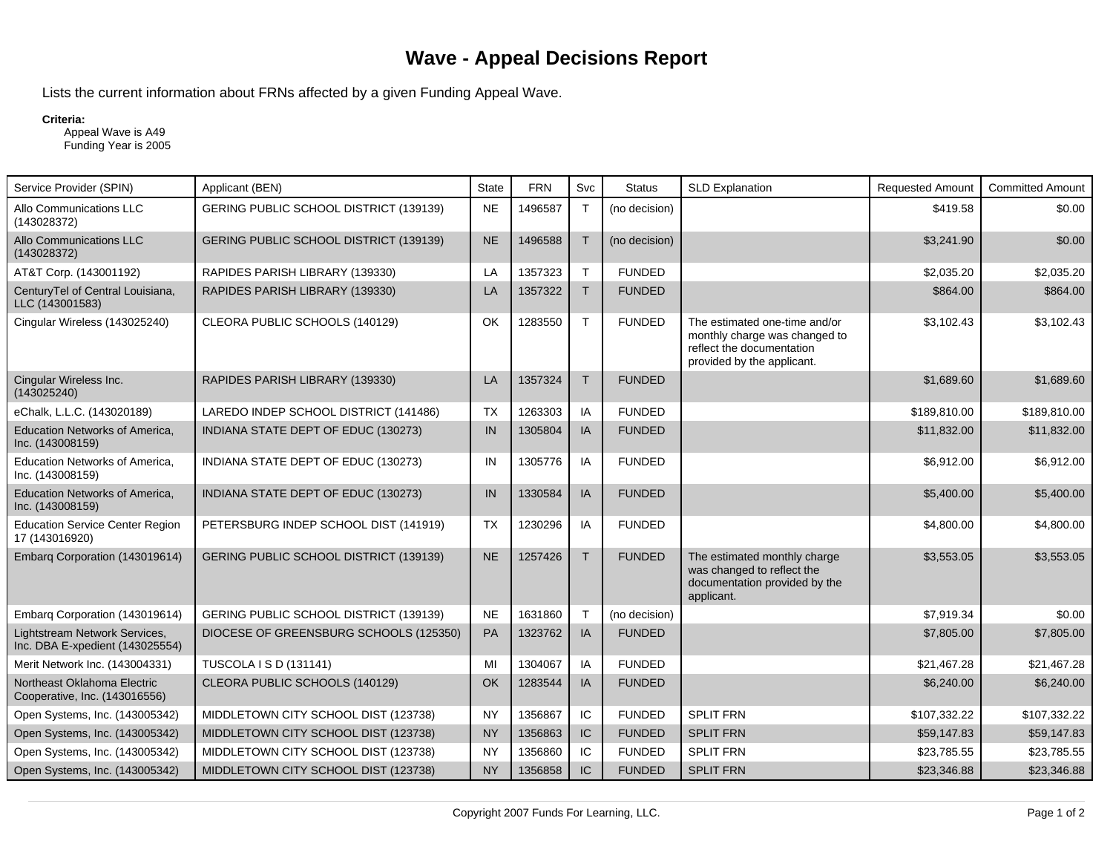## **Wave - Appeal Decisions Report**

Lists the current information about FRNs affected by a given Funding Appeal Wave.

## **Criteria:**

 Appeal Wave is A49 Funding Year is 2005

| Service Provider (SPIN)                                          | Applicant (BEN)                        | <b>State</b> | <b>FRN</b> | Svc          | <b>Status</b> | <b>SLD Explanation</b>                                                                                                    | <b>Requested Amount</b> | <b>Committed Amount</b> |
|------------------------------------------------------------------|----------------------------------------|--------------|------------|--------------|---------------|---------------------------------------------------------------------------------------------------------------------------|-------------------------|-------------------------|
| Allo Communications LLC<br>(143028372)                           | GERING PUBLIC SCHOOL DISTRICT (139139) | <b>NE</b>    | 1496587    | $\mathsf{T}$ | (no decision) |                                                                                                                           | \$419.58                | \$0.00                  |
| Allo Communications LLC<br>(143028372)                           | GERING PUBLIC SCHOOL DISTRICT (139139) | <b>NE</b>    | 1496588    | $\mathsf{T}$ | (no decision) |                                                                                                                           | \$3,241.90              | \$0.00                  |
| AT&T Corp. (143001192)                                           | RAPIDES PARISH LIBRARY (139330)        | LA           | 1357323    | T            | <b>FUNDED</b> |                                                                                                                           | \$2,035.20              | \$2,035.20              |
| CenturyTel of Central Louisiana,<br>LLC (143001583)              | RAPIDES PARISH LIBRARY (139330)        | LA           | 1357322    | $\mathsf{T}$ | <b>FUNDED</b> |                                                                                                                           | \$864.00                | \$864.00                |
| Cingular Wireless (143025240)                                    | CLEORA PUBLIC SCHOOLS (140129)         | OK           | 1283550    | T            | <b>FUNDED</b> | The estimated one-time and/or<br>monthly charge was changed to<br>reflect the documentation<br>provided by the applicant. | \$3,102.43              | \$3,102.43              |
| Cingular Wireless Inc.<br>(143025240)                            | RAPIDES PARISH LIBRARY (139330)        | LA           | 1357324    | T            | <b>FUNDED</b> |                                                                                                                           | \$1,689.60              | \$1,689.60              |
| eChalk, L.L.C. (143020189)                                       | LAREDO INDEP SCHOOL DISTRICT (141486)  | <b>TX</b>    | 1263303    | IA           | <b>FUNDED</b> |                                                                                                                           | \$189,810.00            | \$189,810.00            |
| <b>Education Networks of America,</b><br>Inc. (143008159)        | INDIANA STATE DEPT OF EDUC (130273)    | IN           | 1305804    | IA           | <b>FUNDED</b> |                                                                                                                           | \$11,832.00             | \$11,832.00             |
| Education Networks of America,<br>Inc. (143008159)               | INDIANA STATE DEPT OF EDUC (130273)    | IN           | 1305776    | IA           | <b>FUNDED</b> |                                                                                                                           | \$6,912.00              | \$6,912.00              |
| <b>Education Networks of America,</b><br>Inc. (143008159)        | INDIANA STATE DEPT OF EDUC (130273)    | IN           | 1330584    | IA           | <b>FUNDED</b> |                                                                                                                           | \$5,400.00              | \$5,400.00              |
| <b>Education Service Center Region</b><br>17 (143016920)         | PETERSBURG INDEP SCHOOL DIST (141919)  | <b>TX</b>    | 1230296    | IA           | <b>FUNDED</b> |                                                                                                                           | \$4,800.00              | \$4,800.00              |
| Embarg Corporation (143019614)                                   | GERING PUBLIC SCHOOL DISTRICT (139139) | <b>NE</b>    | 1257426    | T            | <b>FUNDED</b> | The estimated monthly charge<br>was changed to reflect the<br>documentation provided by the<br>applicant.                 | \$3,553.05              | \$3,553.05              |
| Embarg Corporation (143019614)                                   | GERING PUBLIC SCHOOL DISTRICT (139139) | <b>NE</b>    | 1631860    | $\mathsf T$  | (no decision) |                                                                                                                           | \$7,919.34              | \$0.00                  |
| Lightstream Network Services,<br>Inc. DBA E-xpedient (143025554) | DIOCESE OF GREENSBURG SCHOOLS (125350) | <b>PA</b>    | 1323762    | IA           | <b>FUNDED</b> |                                                                                                                           | \$7,805.00              | \$7,805.00              |
| Merit Network Inc. (143004331)                                   | TUSCOLA I S D (131141)                 | MI           | 1304067    | ΙA           | <b>FUNDED</b> |                                                                                                                           | \$21,467.28             | \$21,467.28             |
| Northeast Oklahoma Electric<br>Cooperative, Inc. (143016556)     | CLEORA PUBLIC SCHOOLS (140129)         | OK           | 1283544    | IA           | <b>FUNDED</b> |                                                                                                                           | \$6,240.00              | \$6,240.00              |
| Open Systems, Inc. (143005342)                                   | MIDDLETOWN CITY SCHOOL DIST (123738)   | <b>NY</b>    | 1356867    | IC           | <b>FUNDED</b> | <b>SPLIT FRN</b>                                                                                                          | \$107,332.22            | \$107,332.22            |
| Open Systems, Inc. (143005342)                                   | MIDDLETOWN CITY SCHOOL DIST (123738)   | <b>NY</b>    | 1356863    | IC           | <b>FUNDED</b> | <b>SPLIT FRN</b>                                                                                                          | \$59,147.83             | \$59,147.83             |
| Open Systems, Inc. (143005342)                                   | MIDDLETOWN CITY SCHOOL DIST (123738)   | <b>NY</b>    | 1356860    | IC           | <b>FUNDED</b> | <b>SPLIT FRN</b>                                                                                                          | \$23,785.55             | \$23,785.55             |
| Open Systems, Inc. (143005342)                                   | MIDDLETOWN CITY SCHOOL DIST (123738)   | <b>NY</b>    | 1356858    | IC           | <b>FUNDED</b> | <b>SPLIT FRN</b>                                                                                                          | \$23,346.88             | \$23,346.88             |